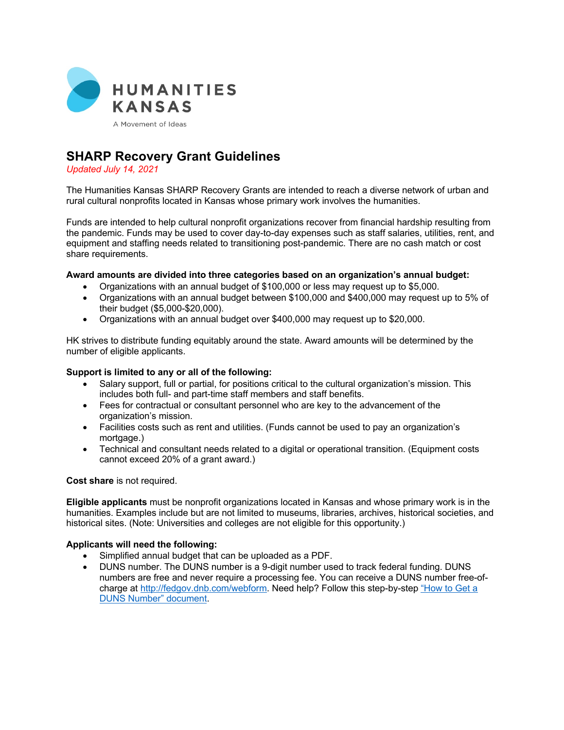

# **SHARP Recovery Grant Guidelines**

*Updated July 14, 2021*

The Humanities Kansas SHARP Recovery Grants are intended to reach a diverse network of urban and rural cultural nonprofits located in Kansas whose primary work involves the humanities.

Funds are intended to help cultural nonprofit organizations recover from financial hardship resulting from the pandemic. Funds may be used to cover day-to-day expenses such as staff salaries, utilities, rent, and equipment and staffing needs related to transitioning post-pandemic. There are no cash match or cost share requirements.

#### **Award amounts are divided into three categories based on an organization's annual budget:**

- Organizations with an annual budget of \$100,000 or less may request up to \$5,000.
- Organizations with an annual budget between \$100,000 and \$400,000 may request up to 5% of their budget (\$5,000-\$20,000).
- Organizations with an annual budget over \$400,000 may request up to \$20,000.

HK strives to distribute funding equitably around the state. Award amounts will be determined by the number of eligible applicants.

## **Support is limited to any or all of the following:**

- Salary support, full or partial, for positions critical to the cultural organization's mission. This includes both full- and part-time staff members and staff benefits.
- Fees for contractual or consultant personnel who are key to the advancement of the organization's mission.
- Facilities costs such as rent and utilities. (Funds cannot be used to pay an organization's mortgage.)
- Technical and consultant needs related to a digital or operational transition. (Equipment costs cannot exceed 20% of a grant award.)

### **Cost share** is not required.

**Eligible applicants** must be nonprofit organizations located in Kansas and whose primary work is in the humanities. Examples include but are not limited to museums, libraries, archives, historical societies, and historical sites. (Note: Universities and colleges are not eligible for this opportunity.)

## **Applicants will need the following:**

- Simplified annual budget that can be uploaded as a PDF.
- DUNS number. The DUNS number is a 9-digit number used to track federal funding. DUNS numbers are free and never require a processing fee. You can receive a DUNS number free-ofcharge at http://fedgov.dnb.com/webform. Need help? Follow this step-by-step "How to Get a DUNS Number" document.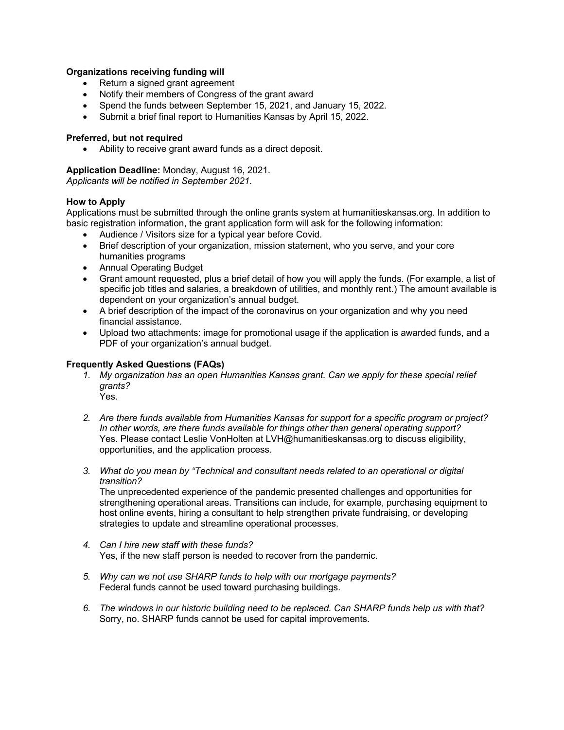## **Organizations receiving funding will**

- Return a signed grant agreement
- Notify their members of Congress of the grant award
- Spend the funds between September 15, 2021, and January 15, 2022.
- Submit a brief final report to Humanities Kansas by April 15, 2022.

#### **Preferred, but not required**

• Ability to receive grant award funds as a direct deposit.

### **Application Deadline:** Monday, August 16, 2021.

*Applicants will be notified in September 2021.*

#### **How to Apply**

Applications must be submitted through the online grants system at humanitieskansas.org. In addition to basic registration information, the grant application form will ask for the following information:

- Audience / Visitors size for a typical year before Covid.
- Brief description of your organization, mission statement, who you serve, and your core humanities programs
- Annual Operating Budget
- Grant amount requested, plus a brief detail of how you will apply the funds. (For example, a list of specific job titles and salaries, a breakdown of utilities, and monthly rent.) The amount available is dependent on your organization's annual budget.
- A brief description of the impact of the coronavirus on your organization and why you need financial assistance.
- Upload two attachments: image for promotional usage if the application is awarded funds, and a PDF of your organization's annual budget.

### **Frequently Asked Questions (FAQs)**

- *1. My organization has an open Humanities Kansas grant. Can we apply for these special relief grants?* Yes.
- *2. Are there funds available from Humanities Kansas for support for a specific program or project? In other words, are there funds available for things other than general operating support?* Yes. Please contact Leslie VonHolten at LVH@humanitieskansas.org to discuss eligibility, opportunities, and the application process.
- *3. What do you mean by "Technical and consultant needs related to an operational or digital transition?*

The unprecedented experience of the pandemic presented challenges and opportunities for strengthening operational areas. Transitions can include, for example, purchasing equipment to host online events, hiring a consultant to help strengthen private fundraising, or developing strategies to update and streamline operational processes.

- *4. Can I hire new staff with these funds?* Yes, if the new staff person is needed to recover from the pandemic.
- *5. Why can we not use SHARP funds to help with our mortgage payments?* Federal funds cannot be used toward purchasing buildings.
- *6. The windows in our historic building need to be replaced. Can SHARP funds help us with that?* Sorry, no. SHARP funds cannot be used for capital improvements.